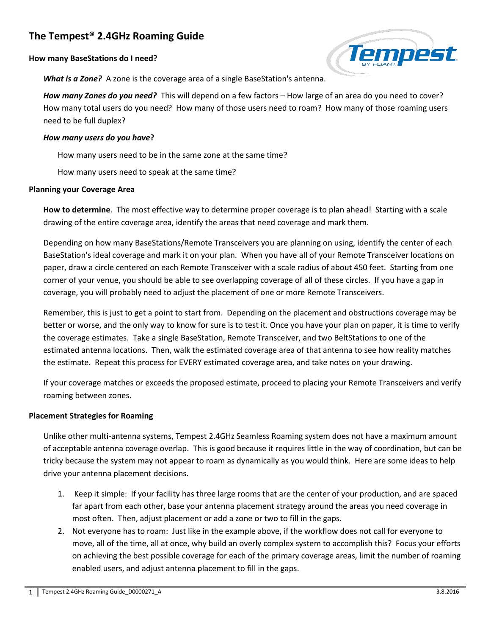# **The Tempest® 2.4GHz Roaming Guide**

## **How many BaseStations do I need?**



*What is a Zone?* A zone is the coverage area of a single BaseStation's antenna.

*How many Zones do you need?* This will depend on a few factors – How large of an area do you need to cover? How many total users do you need? How many of those users need to roam? How many of those roaming users need to be full duplex?

#### *How many users do you have***?**

How many users need to be in the same zone at the same time?

How many users need to speak at the same time?

#### **Planning your Coverage Area**

**How to determine**. The most effective way to determine proper coverage is to plan ahead! Starting with a scale drawing of the entire coverage area, identify the areas that need coverage and mark them.

Depending on how many BaseStations/Remote Transceivers you are planning on using, identify the center of each BaseStation's ideal coverage and mark it on your plan. When you have all of your Remote Transceiver locations on paper, draw a circle centered on each Remote Transceiver with a scale radius of about 450 feet. Starting from one corner of your venue, you should be able to see overlapping coverage of all of these circles. If you have a gap in coverage, you will probably need to adjust the placement of one or more Remote Transceivers.

Remember, this is just to get a point to start from. Depending on the placement and obstructions coverage may be better or worse, and the only way to know for sure is to test it. Once you have your plan on paper, it is time to verify the coverage estimates. Take a single BaseStation, Remote Transceiver, and two BeltStations to one of the estimated antenna locations. Then, walk the estimated coverage area of that antenna to see how reality matches the estimate. Repeat this process for EVERY estimated coverage area, and take notes on your drawing.

If your coverage matches or exceeds the proposed estimate, proceed to placing your Remote Transceivers and verify roaming between zones.

# **Placement Strategies for Roaming**

Unlike other multi-antenna systems, Tempest 2.4GHz Seamless Roaming system does not have a maximum amount of acceptable antenna coverage overlap. This is good because it requires little in the way of coordination, but can be tricky because the system may not appear to roam as dynamically as you would think. Here are some ideas to help drive your antenna placement decisions.

- 1. Keep it simple: If your facility has three large rooms that are the center of your production, and are spaced far apart from each other, base your antenna placement strategy around the areas you need coverage in most often. Then, adjust placement or add a zone or two to fill in the gaps.
- 2. Not everyone has to roam: Just like in the example above, if the workflow does not call for everyone to move, all of the time, all at once, why build an overly complex system to accomplish this? Focus your efforts on achieving the best possible coverage for each of the primary coverage areas, limit the number of roaming enabled users, and adjust antenna placement to fill in the gaps.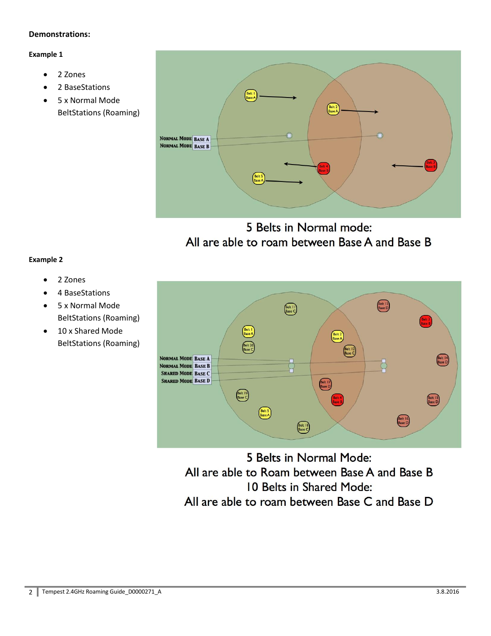# **Demonstrations:**

# **Example 1**

- 2 Zones
- 2 BaseStations
- 5 x Normal Mode BeltStations (Roaming)



5 Belts in Normal mode: All are able to roam between Base A and Base B

#### **Example 2**

- 2 Zones
- 4 BaseStations
- 5 x Normal Mode BeltStations (Roaming)
- 10 x Shared Mode BeltStations (Roaming)



5 Belts in Normal Mode: All are able to Roam between Base A and Base B 10 Belts in Shared Mode: All are able to roam between Base C and Base D